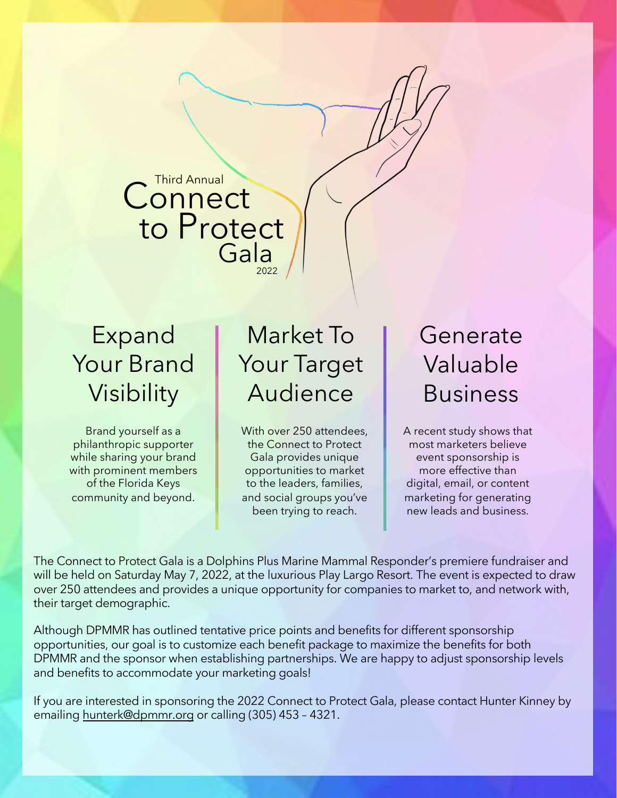**Connect** to Protect Gala

## Expand Your Brand Visibility

Brand yourself as a philanthropic supporter while sharing your brand with prominent members of the Florida Keys community and beyond.

# Market To Your Target Audience

With over 250 attendees, the Connect to Protect Gala provides unique opportunities to market to the leaders, families, and social groups you've been trying to reach.

# Generate Valuable Business

A recent study shows that most marketers believe event sponsorship is more effective than digital, email, or content marketing for generating new leads and business.

The Connect to Protect Gala is a Dolphins Plus Marine Mammal Responder's premiere fundraiser and will be held on Saturday May 7, 2022, at the luxurious Play Largo Resort. The event is expected to draw over 250 attendees and provides a unique opportunity for companies to market to, and network with, their target demographic.

Although DPMMR has outlined tentative price points and benefits for different sponsorship opportunities, our goal is to customize each benefit package to maximize the benefits for both DPMMR and the sponsor when establishing partnerships. We are happy to adjust sponsorship levels and benefits to accommodate your marketing goals!

If you are interested in sponsoring the 2022 Connect to Protect Gala, please contact Hunter Kinney by emailing [hunterk@dpmmr.org](mailto:hunterk@dpmmr.org) or calling (305) 453 – 4321.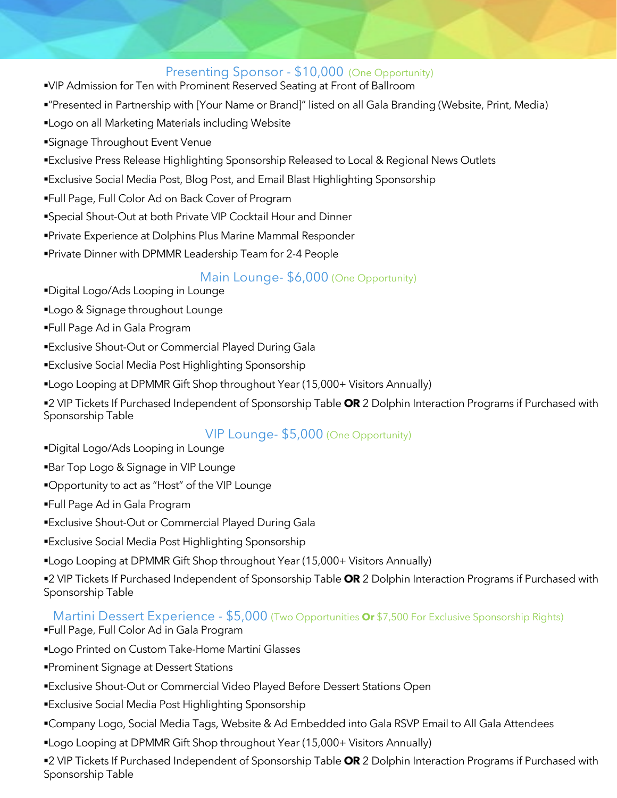#### Presenting Sponsor - \$10,000 (One Opportunity)

- §VIP Admission for Ten with Prominent Reserved Seating at Front of Ballroom
- §"Presented in Partnership with [Your Name or Brand]" listed on all Gala Branding (Website, Print, Media)
- §Logo on all Marketing Materials including Website
- ■Signage Throughout Event Venue
- ■Exclusive Press Release Highlighting Sponsorship Released to Local & Regional News Outlets
- §Exclusive Social Media Post, Blog Post, and Email Blast Highlighting Sponsorship
- §Full Page, Full Color Ad on Back Cover of Program
- §Special Shout-Out at both Private VIP Cocktail Hour and Dinner
- §Private Experience at Dolphins Plus Marine Mammal Responder
- §Private Dinner with DPMMR Leadership Team for 2-4 People

#### Main Lounge- \$6,000 (One Opportunity)

- §Digital Logo/Ads Looping in Lounge
- §Logo & Signage throughout Lounge
- §Full Page Ad in Gala Program
- §Exclusive Shout-Out or Commercial Played During Gala
- §Exclusive Social Media Post Highlighting Sponsorship
- §Logo Looping at DPMMR Gift Shop throughout Year (15,000+ Visitors Annually)
- §2 VIP Tickets If Purchased Independent of Sponsorship Table **OR** 2 Dolphin Interaction Programs if Purchased with Sponsorship Table

#### VIP Lounge- \$5,000 (One Opportunity)

- §Digital Logo/Ads Looping in Lounge
- ■Bar Top Logo & Signage in VIP Lounge
- §Opportunity to act as "Host" of the VIP Lounge
- §Full Page Ad in Gala Program
- ■Exclusive Shout-Out or Commercial Played During Gala
- ■Exclusive Social Media Post Highlighting Sponsorship
- §Logo Looping at DPMMR Gift Shop throughout Year (15,000+ Visitors Annually)

§2 VIP Tickets If Purchased Independent of Sponsorship Table **OR** 2 Dolphin Interaction Programs if Purchased with Sponsorship Table

#### Martini Dessert Experience - \$5,000 (Two Opportunities **Or** \$7,500 For Exclusive Sponsorship Rights)

- §Full Page, Full Color Ad in Gala Program
- §Logo Printed on Custom Take-Home Martini Glasses
- §Prominent Signage at Dessert Stations
- §Exclusive Shout-Out or Commercial Video Played Before Dessert Stations Open
- §Exclusive Social Media Post Highlighting Sponsorship
- §Company Logo, Social Media Tags, Website & Ad Embedded into Gala RSVP Email to All Gala Attendees
- §Logo Looping at DPMMR Gift Shop throughout Year (15,000+ Visitors Annually)

§2 VIP Tickets If Purchased Independent of Sponsorship Table **OR** 2 Dolphin Interaction Programs if Purchased with Sponsorship Table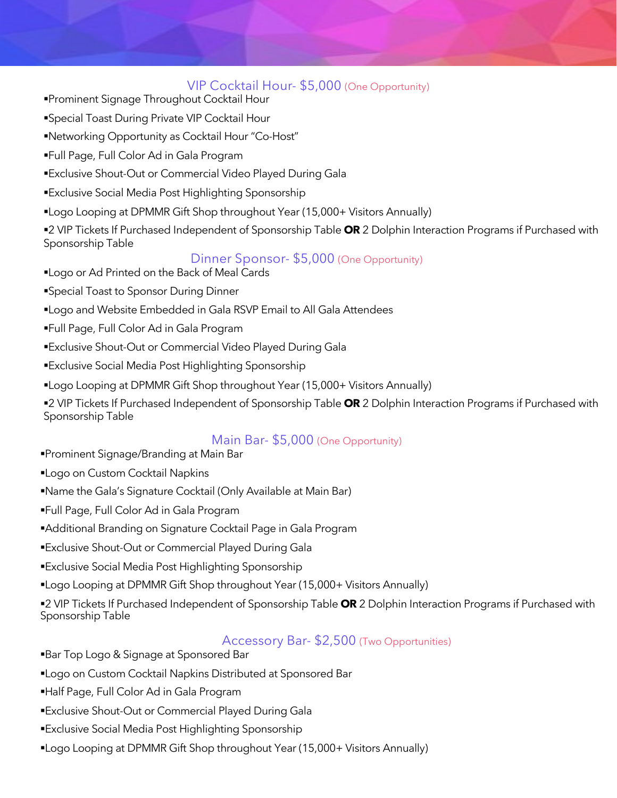#### VIP Cocktail Hour- \$5,000 (One Opportunity)

- §Prominent Signage Throughout Cocktail Hour
- ■Special Toast During Private VIP Cocktail Hour
- §Networking Opportunity as Cocktail Hour "Co-Host"
- §Full Page, Full Color Ad in Gala Program
- ■Exclusive Shout-Out or Commercial Video Played During Gala
- ■Exclusive Social Media Post Highlighting Sponsorship
- §Logo Looping at DPMMR Gift Shop throughout Year (15,000+ Visitors Annually)

§2 VIP Tickets If Purchased Independent of Sponsorship Table **OR** 2 Dolphin Interaction Programs if Purchased with Sponsorship Table

#### Dinner Sponsor- \$5,000 (One Opportunity)

- §Logo or Ad Printed on the Back of Meal Cards
- ■Special Toast to Sponsor During Dinner
- §Logo and Website Embedded in Gala RSVP Email to All Gala Attendees
- §Full Page, Full Color Ad in Gala Program
- ■Exclusive Shout-Out or Commercial Video Played During Gala
- §Exclusive Social Media Post Highlighting Sponsorship
- §Logo Looping at DPMMR Gift Shop throughout Year (15,000+ Visitors Annually)

§2 VIP Tickets If Purchased Independent of Sponsorship Table **OR** 2 Dolphin Interaction Programs if Purchased with Sponsorship Table

#### Main Bar- \$5,000 (One Opportunity)

- §Prominent Signage/Branding at Main Bar
- ■Logo on Custom Cocktail Napkins
- §Name the Gala's Signature Cocktail (Only Available at Main Bar)
- §Full Page, Full Color Ad in Gala Program
- ■Additional Branding on Signature Cocktail Page in Gala Program
- §Exclusive Shout-Out or Commercial Played During Gala
- §Exclusive Social Media Post Highlighting Sponsorship
- §Logo Looping at DPMMR Gift Shop throughout Year (15,000+ Visitors Annually)

§2 VIP Tickets If Purchased Independent of Sponsorship Table **OR** 2 Dolphin Interaction Programs if Purchased with Sponsorship Table

#### Accessory Bar- \$2,500 (Two Opportunities)

- ■Bar Top Logo & Signage at Sponsored Bar
- ■Logo on Custom Cocktail Napkins Distributed at Sponsored Bar
- §Half Page, Full Color Ad in Gala Program
- §Exclusive Shout-Out or Commercial Played During Gala
- §Exclusive Social Media Post Highlighting Sponsorship
- §Logo Looping at DPMMR Gift Shop throughout Year (15,000+ Visitors Annually)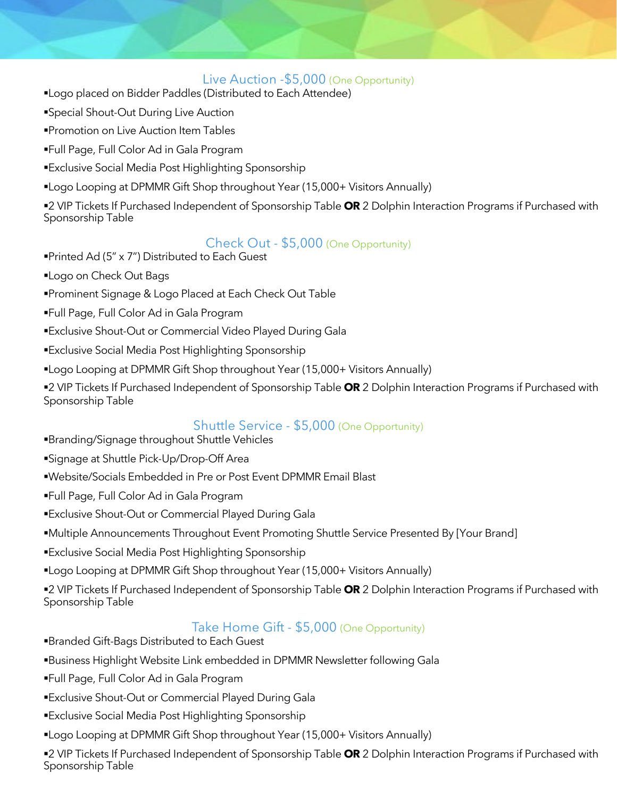#### Live Auction -\$5,000 (One Opportunity)

- §Logo placed on Bidder Paddles (Distributed to Each Attendee)
- §Special Shout-Out During Live Auction
- ■Promotion on Live Auction Item Tables
- §Full Page, Full Color Ad in Gala Program
- ■Exclusive Social Media Post Highlighting Sponsorship
- §Logo Looping at DPMMR Gift Shop throughout Year (15,000+ Visitors Annually)

§2 VIP Tickets If Purchased Independent of Sponsorship Table **OR** 2 Dolphin Interaction Programs if Purchased with Sponsorship Table

#### Check Out - \$5,000 (One Opportunity)

- §Printed Ad (5" x 7") Distributed to Each Guest
- ■Logo on Check Out Bags
- §Prominent Signage & Logo Placed at Each Check Out Table
- §Full Page, Full Color Ad in Gala Program
- ■Exclusive Shout-Out or Commercial Video Played During Gala
- ■Exclusive Social Media Post Highlighting Sponsorship
- §Logo Looping at DPMMR Gift Shop throughout Year (15,000+ Visitors Annually)

§2 VIP Tickets If Purchased Independent of Sponsorship Table **OR** 2 Dolphin Interaction Programs if Purchased with Sponsorship Table

#### Shuttle Service - \$5,000 (One Opportunity)

- §Branding/Signage throughout Shuttle Vehicles
- §Signage at Shuttle Pick-Up/Drop-Off Area
- §Website/Socials Embedded in Pre or Post Event DPMMR Email Blast
- §Full Page, Full Color Ad in Gala Program
- ■Exclusive Shout-Out or Commercial Played During Gala
- §Multiple Announcements Throughout Event Promoting Shuttle Service Presented By [Your Brand]
- ■Exclusive Social Media Post Highlighting Sponsorship
- §Logo Looping at DPMMR Gift Shop throughout Year (15,000+ Visitors Annually)

§2 VIP Tickets If Purchased Independent of Sponsorship Table **OR** 2 Dolphin Interaction Programs if Purchased with Sponsorship Table

#### Take Home Gift - \$5,000 (One Opportunity)

- §Branded Gift-Bags Distributed to Each Guest
- §Business Highlight Website Link embedded in DPMMR Newsletter following Gala
- §Full Page, Full Color Ad in Gala Program
- §Exclusive Shout-Out or Commercial Played During Gala
- ■Exclusive Social Media Post Highlighting Sponsorship
- §Logo Looping at DPMMR Gift Shop throughout Year (15,000+ Visitors Annually)

§2 VIP Tickets If Purchased Independent of Sponsorship Table **OR** 2 Dolphin Interaction Programs if Purchased with Sponsorship Table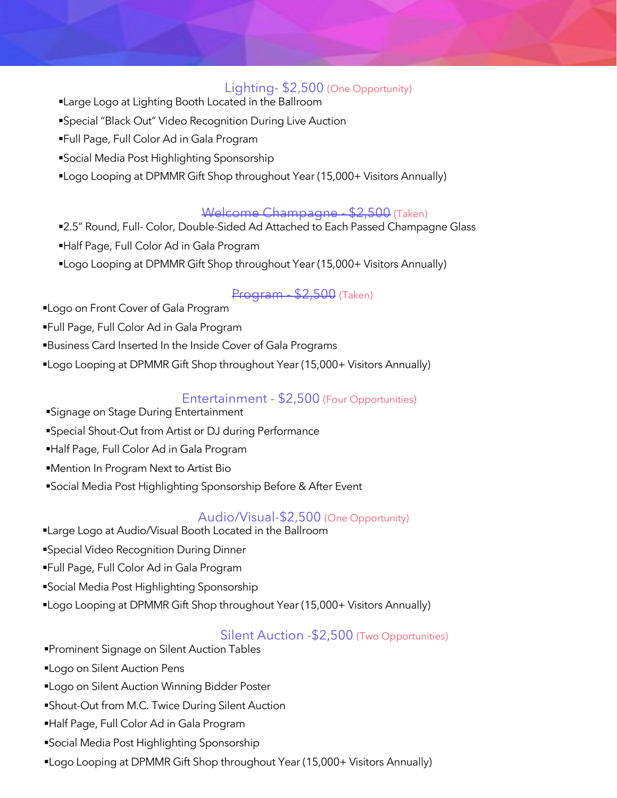#### Lighting- \$2,500 (One Opportunity)

- §Large Logo at Lighting Booth Located in the Ballroom
- §Special "Black Out" Video Recognition During Live Auction
- §Full Page, Full Color Ad in Gala Program
- §Social Media Post Highlighting Sponsorship
- §Logo Looping at DPMMR Gift Shop throughout Year (15,000+ Visitors Annually)

#### Welcome Champagne - \$2,500 (Taken)

- ■2.5" Round, Full- Color, Double-Sided Ad Attached to Each Passed Champagne Glass
- §Half Page, Full Color Ad in Gala Program
- §Logo Looping at DPMMR Gift Shop throughout Year (15,000+ Visitors Annually)

#### Program - \$2,500 (Taken)

- ■Logo on Front Cover of Gala Program
- §Full Page, Full Color Ad in Gala Program
- §Business Card Inserted In the Inside Cover of Gala Programs
- ■Logo Looping at DPMMR Gift Shop throughout Year (15,000+ Visitors Annually)

#### Entertainment - \$2,500 (Four Opportunities)

- ■Signage on Stage During Entertainment
- §Special Shout-Out from Artist or DJ during Performance
- §Half Page, Full Color Ad in Gala Program
- ■Mention In Program Next to Artist Bio
- ■Social Media Post Highlighting Sponsorship Before & After Event

#### Audio/Visual-\$2,500 (One Opportunity)

- §Large Logo at Audio/Visual Booth Located in the Ballroom
- §Special Video Recognition During Dinner
- §Full Page, Full Color Ad in Gala Program
- §Social Media Post Highlighting Sponsorship
- §Logo Looping at DPMMR Gift Shop throughout Year (15,000+ Visitors Annually)

#### Silent Auction -\$2,500 (Two Opportunities)

- §Prominent Signage on Silent Auction Tables
- ■Logo on Silent Auction Pens
- ■Logo on Silent Auction Winning Bidder Poster
- ■Shout-Out from M.C. Twice During Silent Auction
- §Half Page, Full Color Ad in Gala Program
- §Social Media Post Highlighting Sponsorship
- §Logo Looping at DPMMR Gift Shop throughout Year (15,000+ Visitors Annually)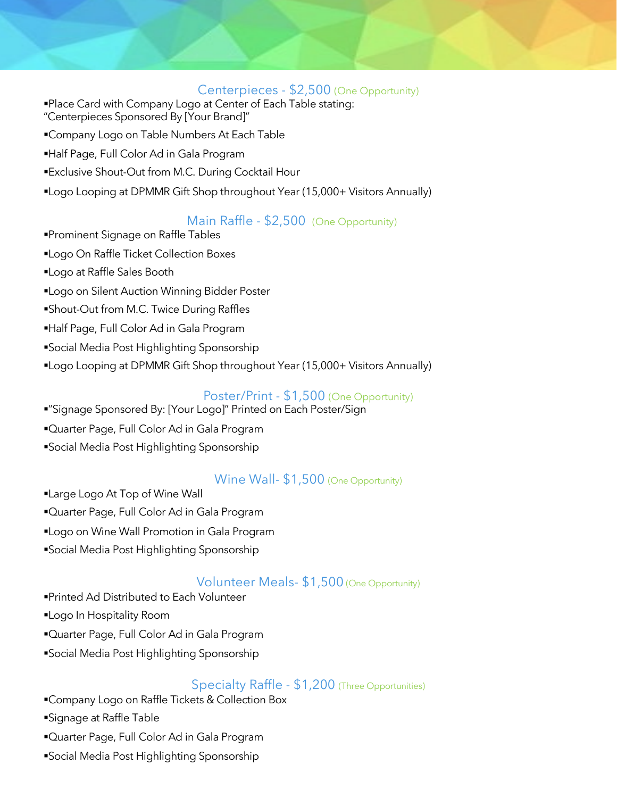#### Centerpieces - \$2,500 (One Opportunity)

- ■Place Card with Company Logo at Center of Each Table stating:
- "Centerpieces Sponsored By [Your Brand]"
- ■Company Logo on Table Numbers At Each Table
- §Half Page, Full Color Ad in Gala Program
- ■Exclusive Shout-Out from M.C. During Cocktail Hour
- §Logo Looping at DPMMR Gift Shop throughout Year (15,000+ Visitors Annually)

#### Main Raffle - \$2,500 (One Opportunity)

§Prominent Signage on Raffle Tables §Logo On Raffle Ticket Collection Boxes §Logo at Raffle Sales Booth ■Logo on Silent Auction Winning Bidder Poster §Shout-Out from M.C. Twice During Raffles §Half Page, Full Color Ad in Gala Program §Social Media Post Highlighting Sponsorship §Logo Looping at DPMMR Gift Shop throughout Year (15,000+ Visitors Annually)

#### Poster/Print - \$1,500 (One Opportunity)

- §"Signage Sponsored By: [Your Logo]" Printed on Each Poster/Sign
- ■Quarter Page, Full Color Ad in Gala Program
- §Social Media Post Highlighting Sponsorship

#### Wine Wall- \$1,500 (One Opportunity)

- ■Large Logo At Top of Wine Wall
- ■Quarter Page, Full Color Ad in Gala Program
- ■Logo on Wine Wall Promotion in Gala Program
- §Social Media Post Highlighting Sponsorship

#### Volunteer Meals- \$1,500 (One Opportunity)

- §Printed Ad Distributed to Each Volunteer
- §Logo In Hospitality Room
- ■Quarter Page, Full Color Ad in Gala Program
- §Social Media Post Highlighting Sponsorship

#### Specialty Raffle - \$1,200 (Three Opportunities)

- §Company Logo on Raffle Tickets & Collection Box
- ■Signage at Raffle Table
- ■Quarter Page, Full Color Ad in Gala Program
- §Social Media Post Highlighting Sponsorship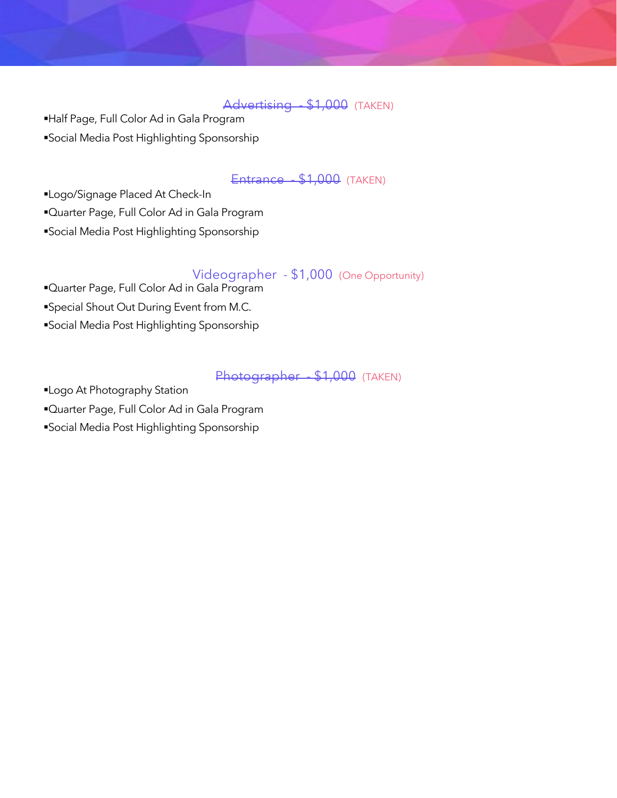Advertising \$1,000 (TAKEN)

§Half Page, Full Color Ad in Gala Program

§Social Media Post Highlighting Sponsorship

#### Entrance - \$1,000 (TAKEN)

§Logo/Signage Placed At Check-In

§Quarter Page, Full Color Ad in Gala Program

§Social Media Post Highlighting Sponsorship

#### Videographer - \$1,000 (One Opportunity)

§Quarter Page, Full Color Ad in Gala Program §Special Shout Out During Event from M.C. §Social Media Post Highlighting Sponsorship

#### Photographer - \$1,000 (TAKEN)

§Logo At Photography Station

■Quarter Page, Full Color Ad in Gala Program

§Social Media Post Highlighting Sponsorship